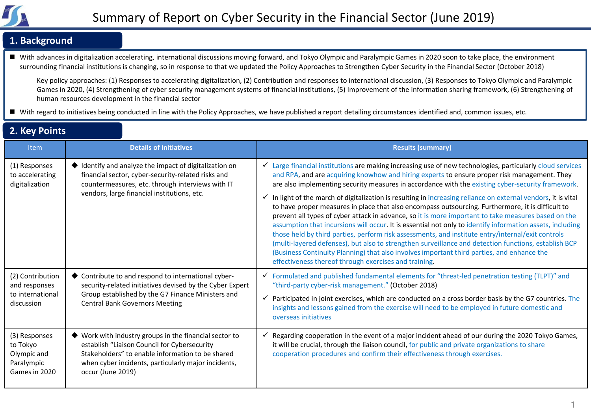

### **1. Background**

■ With advances in digitalization accelerating, international discussions moving forward, and Tokyo Olympic and Paralympic Games in 2020 soon to take place, the environment surrounding financial institutions is changing, so in response to that we updated the Policy Approaches to Strengthen Cyber Security in the Financial Sector (October 2018)

Key policy approaches: (1) Responses to accelerating digitalization, (2) Contribution and responses to international discussion, (3) Responses to Tokyo Olympic and Paralympic Games in 2020, (4) Strengthening of cyber security management systems of financial institutions, (5) Improvement of the information sharing framework, (6) Strengthening of human resources development in the financial sector

■ With regard to initiatives being conducted in line with the Policy Approaches, we have published a report detailing circumstances identified and, common issues, etc.

### **2. Key Points**

| <b>Item</b>                                                             | <b>Details of initiatives</b>                                                                                                                                                                                                        | <b>Results (summary)</b>                                                                                                                                                                                                                                                                                                                                                                                                                                                                                                                                                                                                                                                                                                                                                                                                                                                                                                                                                                                                                                                                                                       |
|-------------------------------------------------------------------------|--------------------------------------------------------------------------------------------------------------------------------------------------------------------------------------------------------------------------------------|--------------------------------------------------------------------------------------------------------------------------------------------------------------------------------------------------------------------------------------------------------------------------------------------------------------------------------------------------------------------------------------------------------------------------------------------------------------------------------------------------------------------------------------------------------------------------------------------------------------------------------------------------------------------------------------------------------------------------------------------------------------------------------------------------------------------------------------------------------------------------------------------------------------------------------------------------------------------------------------------------------------------------------------------------------------------------------------------------------------------------------|
| (1) Responses<br>to accelerating<br>digitalization                      | ♦ Identify and analyze the impact of digitalization on<br>financial sector, cyber-security-related risks and<br>countermeasures, etc. through interviews with IT<br>vendors, large financial institutions, etc.                      | Large financial institutions are making increasing use of new technologies, particularly cloud services<br>and RPA, and are acquiring knowhow and hiring experts to ensure proper risk management. They<br>are also implementing security measures in accordance with the existing cyber-security framework.<br>In light of the march of digitalization is resulting in increasing reliance on external vendors, it is vital<br>✓<br>to have proper measures in place that also encompass outsourcing. Furthermore, it is difficult to<br>prevent all types of cyber attack in advance, so it is more important to take measures based on the<br>assumption that incursions will occur. It is essential not only to identify information assets, including<br>those held by third parties, perform risk assessments, and institute entry/internal/exit controls<br>(multi-layered defenses), but also to strengthen surveillance and detection functions, establish BCP<br>(Business Continuity Planning) that also involves important third parties, and enhance the<br>effectiveness thereof through exercises and training. |
| (2) Contribution<br>and responses<br>to international<br>discussion     | ◆ Contribute to and respond to international cyber-<br>security-related initiatives devised by the Cyber Expert<br>Group established by the G7 Finance Ministers and<br><b>Central Bank Governors Meeting</b>                        | $\checkmark$ Formulated and published fundamental elements for "threat-led penetration testing (TLPT)" and<br>"third-party cyber-risk management." (October 2018)<br>Participated in joint exercises, which are conducted on a cross border basis by the G7 countries. The<br>✓<br>insights and lessons gained from the exercise will need to be employed in future domestic and<br>overseas initiatives                                                                                                                                                                                                                                                                                                                                                                                                                                                                                                                                                                                                                                                                                                                       |
| (3) Responses<br>to Tokyo<br>Olympic and<br>Paralympic<br>Games in 2020 | Work with industry groups in the financial sector to<br>establish "Liaison Council for Cybersecurity<br>Stakeholders" to enable information to be shared<br>when cyber incidents, particularly major incidents,<br>occur (June 2019) | Regarding cooperation in the event of a major incident ahead of our during the 2020 Tokyo Games,<br>✓<br>it will be crucial, through the liaison council, for public and private organizations to share<br>cooperation procedures and confirm their effectiveness through exercises.                                                                                                                                                                                                                                                                                                                                                                                                                                                                                                                                                                                                                                                                                                                                                                                                                                           |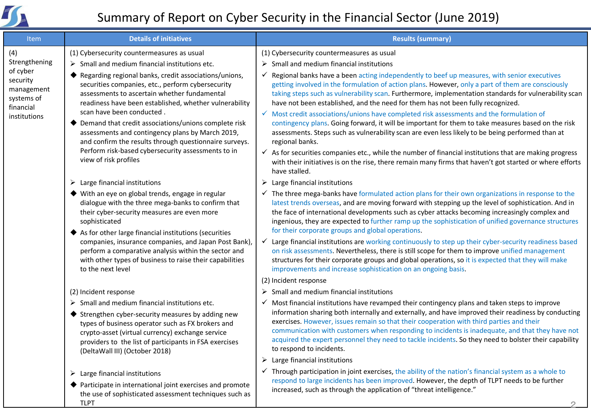

# Summary of Report on Cyber Security in the Financial Sector (June 2019)

| Item                                                                                                  | <b>Details of initiatives</b>                                                                                                                                                                                                                                                                                                                                                                                                                                                                          | <b>Results (summary)</b>                                                                                                                                                                                                                                                                                                                                                                                                                                                                                                                     |
|-------------------------------------------------------------------------------------------------------|--------------------------------------------------------------------------------------------------------------------------------------------------------------------------------------------------------------------------------------------------------------------------------------------------------------------------------------------------------------------------------------------------------------------------------------------------------------------------------------------------------|----------------------------------------------------------------------------------------------------------------------------------------------------------------------------------------------------------------------------------------------------------------------------------------------------------------------------------------------------------------------------------------------------------------------------------------------------------------------------------------------------------------------------------------------|
| (4)<br>Strengthening<br>of cyber<br>security<br>management<br>systems of<br>financial<br>institutions | (1) Cybersecurity countermeasures as usual                                                                                                                                                                                                                                                                                                                                                                                                                                                             | (1) Cybersecurity countermeasures as usual                                                                                                                                                                                                                                                                                                                                                                                                                                                                                                   |
|                                                                                                       | $\triangleright$ Small and medium financial institutions etc.                                                                                                                                                                                                                                                                                                                                                                                                                                          | Small and medium financial institutions<br>$\blacktriangleright$                                                                                                                                                                                                                                                                                                                                                                                                                                                                             |
|                                                                                                       | Regarding regional banks, credit associations/unions,<br>securities companies, etc., perform cybersecurity<br>assessments to ascertain whether fundamental<br>readiness have been established, whether vulnerability<br>scan have been conducted.<br>Demand that credit associations/unions complete risk<br>assessments and contingency plans by March 2019,<br>and confirm the results through questionnaire surveys.<br>Perform risk-based cybersecurity assessments to in<br>view of risk profiles | Regional banks have a been acting independently to beef up measures, with senior executives<br>✓<br>getting involved in the formulation of action plans. However, only a part of them are consciously<br>taking steps such as vulnerability scan. Furthermore, implementation standards for vulnerability scan<br>have not been established, and the need for them has not been fully recognized.                                                                                                                                            |
|                                                                                                       |                                                                                                                                                                                                                                                                                                                                                                                                                                                                                                        | Most credit associations/unions have completed risk assessments and the formulation of<br>$\checkmark$<br>contingency plans. Going forward, it will be important for them to take measures based on the risk<br>assessments. Steps such as vulnerability scan are even less likely to be being performed than at<br>regional banks.                                                                                                                                                                                                          |
|                                                                                                       |                                                                                                                                                                                                                                                                                                                                                                                                                                                                                                        | $\checkmark$ As for securities companies etc., while the number of financial institutions that are making progress<br>with their initiatives is on the rise, there remain many firms that haven't got started or where efforts<br>have stalled.                                                                                                                                                                                                                                                                                              |
|                                                                                                       | $\triangleright$ Large financial institutions                                                                                                                                                                                                                                                                                                                                                                                                                                                          | Large financial institutions<br>➤                                                                                                                                                                                                                                                                                                                                                                                                                                                                                                            |
|                                                                                                       | ◆ With an eye on global trends, engage in regular<br>dialogue with the three mega-banks to confirm that<br>their cyber-security measures are even more<br>sophisticated                                                                                                                                                                                                                                                                                                                                | The three mega-banks have formulated action plans for their own organizations in response to the<br>$\checkmark$<br>latest trends overseas, and are moving forward with stepping up the level of sophistication. And in<br>the face of international developments such as cyber attacks becoming increasingly complex and<br>ingenious, they are expected to further ramp up the sophistication of unified governance structures                                                                                                             |
|                                                                                                       | ♦ As for other large financial institutions (securities<br>companies, insurance companies, and Japan Post Bank),<br>perform a comparative analysis within the sector and<br>with other types of business to raise their capabilities<br>to the next level                                                                                                                                                                                                                                              | for their corporate groups and global operations.<br>Large financial institutions are working continuously to step up their cyber-security readiness based<br>✓<br>on risk assessments. Nevertheless, there is still scope for them to improve unified management<br>structures for their corporate groups and global operations, so it is expected that they will make<br>improvements and increase sophistication on an ongoing basis.                                                                                                     |
|                                                                                                       |                                                                                                                                                                                                                                                                                                                                                                                                                                                                                                        | (2) Incident response                                                                                                                                                                                                                                                                                                                                                                                                                                                                                                                        |
|                                                                                                       | (2) Incident response                                                                                                                                                                                                                                                                                                                                                                                                                                                                                  | Small and medium financial institutions<br>➤                                                                                                                                                                                                                                                                                                                                                                                                                                                                                                 |
|                                                                                                       | $\triangleright$ Small and medium financial institutions etc.<br>♦ Strengthen cyber-security measures by adding new<br>types of business operator such as FX brokers and<br>crypto-asset (virtual currency) exchange service<br>providers to the list of participants in FSA exercises<br>(DeltaWall III) (October 2018)                                                                                                                                                                               | Most financial institutions have revamped their contingency plans and taken steps to improve<br>✓<br>information sharing both internally and externally, and have improved their readiness by conducting<br>exercises. However, issues remain so that their cooperation with third parties and their<br>communication with customers when responding to incidents is inadequate, and that they have not<br>acquired the expert personnel they need to tackle incidents. So they need to bolster their capability<br>to respond to incidents. |
|                                                                                                       |                                                                                                                                                                                                                                                                                                                                                                                                                                                                                                        | Large financial institutions<br>➤                                                                                                                                                                                                                                                                                                                                                                                                                                                                                                            |
|                                                                                                       | $\triangleright$ Large financial institutions<br>♦ Participate in international joint exercises and promote<br>the use of sophisticated assessment techniques such as<br><b>TLPT</b>                                                                                                                                                                                                                                                                                                                   | Through participation in joint exercises, the ability of the nation's financial system as a whole to<br>$\checkmark$<br>respond to large incidents has been improved. However, the depth of TLPT needs to be further<br>increased, such as through the application of "threat intelligence."                                                                                                                                                                                                                                                 |